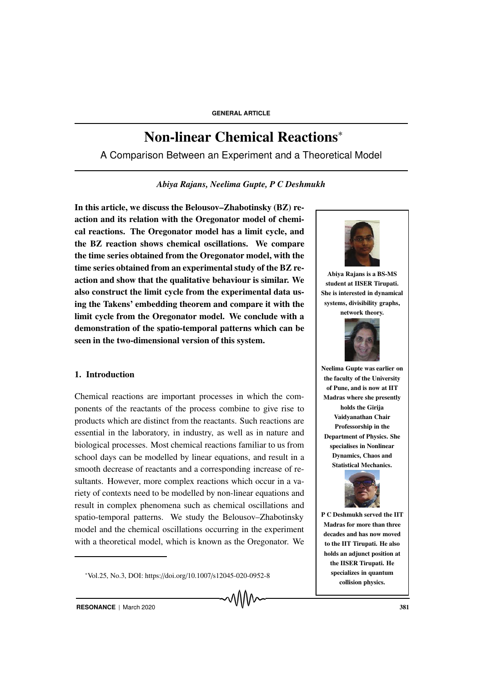# Non-linear Chemical Reactions<sup>∗</sup>

A Comparison Between an Experiment and a Theoretical Model

# *Abiya Rajans, Neelima Gupte, P C Deshmukh*

In this article, we discuss the Belousov–Zhabotinsky (BZ) reaction and its relation with the Oregonator model of chemical reactions. The Oregonator model has a limit cycle, and the BZ reaction shows chemical oscillations. We compare the time series obtained from the Oregonator model, with the time series obtained from an experimental study of the BZ reaction and show that the qualitative behaviour is similar. We also construct the limit cycle from the experimental data using the Takens' embedding theorem and compare it with the limit cycle from the Oregonator model. We conclude with a demonstration of the spatio-temporal patterns which can be seen in the two-dimensional version of this system.

#### 1. Introduction

Chemical reactions are important processes in which the components of the reactants of the process combine to give rise to products which are distinct from the reactants. Such reactions are essential in the laboratory, in industry, as well as in nature and biological processes. Most chemical reactions familiar to us from school days can be modelled by linear equations, and result in a smooth decrease of reactants and a corresponding increase of resultants. However, more complex reactions which occur in a variety of contexts need to be modelled by non-linear equations and result in complex phenomena such as chemical oscillations and spatio-temporal patterns. We study the Belousov–Zhabotinsky model and the chemical oscillations occurring in the experiment with a theoretical model, which is known as the Oregonator. We



Abiya Rajans is a BS-MS student at IISER Tirupati. She is interested in dynamical systems, divisibility graphs, network theory.



Neelima Gupte was earlier on the faculty of the University of Pune, and is now at IIT Madras where she presently holds the Girija Vaidyanathan Chair Professorship in the Department of Physics. She specialises in Nonlinear Dynamics, Chaos and Statistical Mechanics.



P C Deshmukh served the IIT Madras for more than three decades and has now moved to the IIT Tirupati. He also holds an adjunct position at the IISER Tirupati. He specializes in quantum collision physics.

<sup>∗</sup>Vol.25, No.3, DOI: https://doi.org/10.1007/s12045-020-0952-8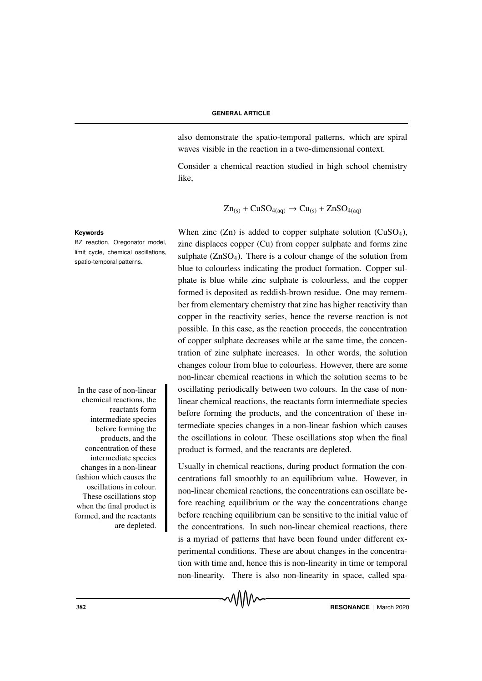also demonstrate the spatio-temporal patterns, which are spiral waves visible in the reaction in a two-dimensional context.

Consider a chemical reaction studied in high school chemistry like,

$$
Zn_{(s)} + CuSO_{4(aq)} \rightarrow Cu_{(s)} + ZnSO_{4(aq)}
$$

BZ reaction, Oregonator model, limit cycle, chemical oscillations, spatio-temporal patterns.

chemical reactions, the reactants form intermediate species before forming the products, and the concentration of these intermediate species changes in a non-linear fashion which causes the oscillations in colour. These oscillations stop when the final product is formed, and the reactants are depleted.

**Keywords** When zinc (Zn) is added to copper sulphate solution (CuSO<sub>4</sub>), zinc displaces copper (Cu) from copper sulphate and forms zinc sulphate  $(ZnSO<sub>4</sub>)$ . There is a colour change of the solution from blue to colourless indicating the product formation. Copper sulphate is blue while zinc sulphate is colourless, and the copper formed is deposited as reddish-brown residue. One may remember from elementary chemistry that zinc has higher reactivity than copper in the reactivity series, hence the reverse reaction is not possible. In this case, as the reaction proceeds, the concentration of copper sulphate decreases while at the same time, the concentration of zinc sulphate increases. In other words, the solution changes colour from blue to colourless. However, there are some non-linear chemical reactions in which the solution seems to be In the case of non-linear solution oscillating periodically between two colours. In the case of nonlinear chemical reactions, the reactants form intermediate species before forming the products, and the concentration of these intermediate species changes in a non-linear fashion which causes the oscillations in colour. These oscillations stop when the final product is formed, and the reactants are depleted.

> Usually in chemical reactions, during product formation the concentrations fall smoothly to an equilibrium value. However, in non-linear chemical reactions, the concentrations can oscillate before reaching equilibrium or the way the concentrations change before reaching equilibrium can be sensitive to the initial value of the concentrations. In such non-linear chemical reactions, there is a myriad of patterns that have been found under different experimental conditions. These are about changes in the concentration with time and, hence this is non-linearity in time or temporal non-linearity. There is also non-linearity in space, called spa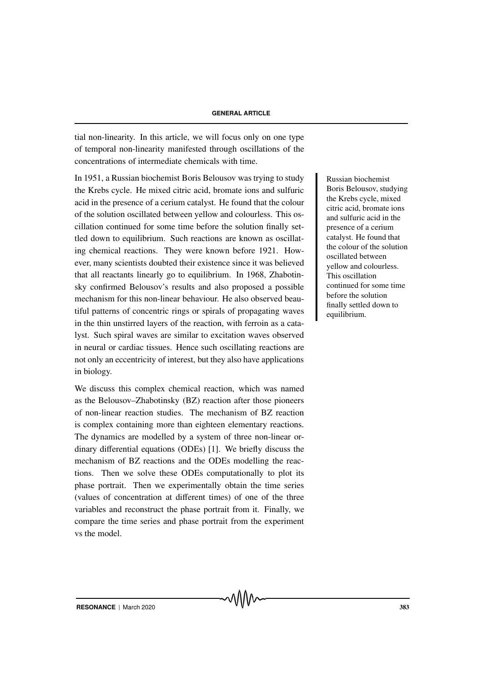tial non-linearity. In this article, we will focus only on one type of temporal non-linearity manifested through oscillations of the concentrations of intermediate chemicals with time.

In 1951, a Russian biochemist Boris Belousov was trying to study Russian biochemist the Krebs cycle. He mixed citric acid, bromate ions and sulfuric acid in the presence of a cerium catalyst. He found that the colour of the solution oscillated between yellow and colourless. This oscillation continued for some time before the solution finally settled down to equilibrium. Such reactions are known as oscillating chemical reactions. They were known before 1921. However, many scientists doubted their existence since it was believed that all reactants linearly go to equilibrium. In 1968, Zhabotinsky confirmed Belousov's results and also proposed a possible mechanism for this non-linear behaviour. He also observed beautiful patterns of concentric rings or spirals of propagating waves in the thin unstirred layers of the reaction, with ferroin as a catalyst. Such spiral waves are similar to excitation waves observed in neural or cardiac tissues. Hence such oscillating reactions are not only an eccentricity of interest, but they also have applications in biology.

We discuss this complex chemical reaction, which was named as the Belousov–Zhabotinsky (BZ) reaction after those pioneers of non-linear reaction studies. The mechanism of BZ reaction is complex containing more than eighteen elementary reactions. The dynamics are modelled by a system of three non-linear ordinary differential equations (ODEs) [1]. We briefly discuss the mechanism of BZ reactions and the ODEs modelling the reactions. Then we solve these ODEs computationally to plot its phase portrait. Then we experimentally obtain the time series (values of concentration at different times) of one of the three variables and reconstruct the phase portrait from it. Finally, we compare the time series and phase portrait from the experiment vs the model.

Boris Belousov, studying the Krebs cycle, mixed citric acid, bromate ions and sulfuric acid in the presence of a cerium catalyst. He found that the colour of the solution oscillated between yellow and colourless. This oscillation continued for some time before the solution finally settled down to equilibrium.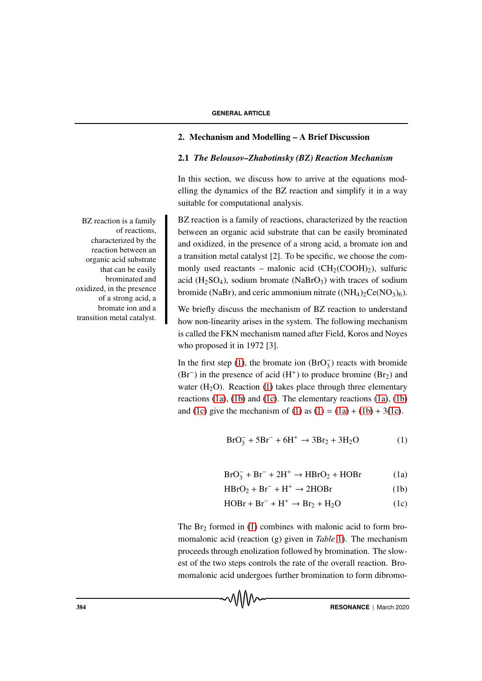# 2. Mechanism and Modelling – A Brief Discussion

# 2.1 *The Belousov–Zhabotinsky (BZ) Reaction Mechanism*

In this section, we discuss how to arrive at the equations modelling the dynamics of the BZ reaction and simplify it in a way suitable for computational analysis.

BZ reaction is a family of reactions, characterized by the reaction between an organic acid substrate that can be easily brominated and oxidized, in the presence of a strong acid, a bromate ion and a transition metal catalyst [2]. To be specific, we choose the commonly used reactants – malonic acid  $(CH_2(COOH)_2)$ , sulfuric acid (H<sub>2</sub>SO<sub>4</sub>), sodium bromate (NaBrO<sub>3</sub>) with traces of sodium bromide (NaBr), and ceric ammonium nitrate  $((NH_4)_2Ce(NO_3)_6)$ .

We briefly discuss the mechanism of BZ reaction to understand how non-linearity arises in the system. The following mechanism is called the FKN mechanism named after Field, Koros and Noyes who proposed it in 1972 [3].

In the first step (1), the bromate ion  $(BrO_3^-)$  reacts with bromide  $(Br^-)$  in the presence of acid  $(H^+)$  to produce bromine  $(Br_2)$  and water ( $H_2O$ ). Reaction (1) takes place through three elementary reactions (1a), (1b) and (1c). The elementary reactions (1a), (1b) and (1c) give the mechanism of (1) as  $(1) = (1a) + (1b) + 3(1c)$ .

$$
BrO_3^- + 5Br^- + 6H^+ \to 3Br_2 + 3H_2O \tag{1}
$$

$$
BrO_3^- + Br^- + 2H^+ \rightarrow HBrO_2 + HOBr \tag{1a}
$$

$$
HBrO2 + Br- + H+ \rightarrow 2HOBr
$$
 (1b)

$$
HOBr + Br^- + H^+ \rightarrow Br_2 + H_2O \tag{1c}
$$

The  $Br<sub>2</sub>$  formed in (1) combines with malonic acid to form bromomalonic acid (reaction (g) given in *Table* 1). The mechanism proceeds through enolization followed by bromination. The slowest of the two steps controls the rate of the overall reaction. Bromomalonic acid undergoes further bromination to form dibromo-

BZ reaction is a family of reactions, characterized by the reaction between an organic acid substrate that can be easily brominated and oxidized, in the presence of a strong acid, a bromate ion and a transition metal catalyst.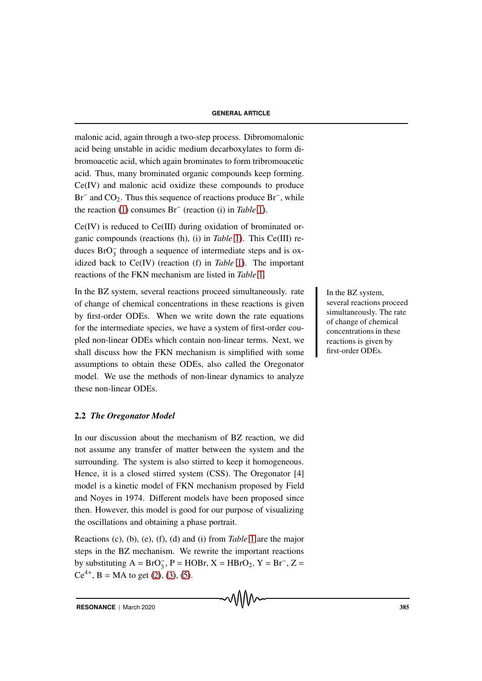malonic acid, again through a two-step process. Dibromomalonic acid being unstable in acidic medium decarboxylates to form dibromoacetic acid, which again brominates to form tribromoacetic acid. Thus, many brominated organic compounds keep forming. Ce(IV) and malonic acid oxidize these compounds to produce Br<sup>−</sup> and CO<sub>2</sub>. Thus this sequence of reactions produce Br<sup>−</sup>, while the reaction (1) consumes Br<sup>−</sup> (reaction (i) in *Table* 1).

Ce(IV) is reduced to Ce(III) during oxidation of brominated organic compounds (reactions (h), (i) in *Table* 1). This Ce(III) reduces  $BrO<sub>3</sub><sup>-</sup>$  through a sequence of intermediate steps and is oxidized back to Ce(IV) (reaction (f) in *Table* 1). The important reactions of the FKN mechanism are listed in *Table* 1.

In the BZ system, several reactions proceed simultaneously. rate In the BZ system, of change of chemical concentrations in these reactions is given by first-order ODEs. When we write down the rate equations for the intermediate species, we have a system of first-order coupled non-linear ODEs which contain non-linear terms. Next, we shall discuss how the FKN mechanism is simplified with some assumptions to obtain these ODEs, also called the Oregonator model. We use the methods of non-linear dynamics to analyze these non-linear ODEs.

several reactions proceed simultaneously. The rate of change of chemical concentrations in these reactions is given by first-order ODEs.

## 2.2 *The Oregonator Model*

In our discussion about the mechanism of BZ reaction, we did not assume any transfer of matter between the system and the surrounding. The system is also stirred to keep it homogeneous. Hence, it is a closed stirred system (CSS). The Oregonator [4] model is a kinetic model of FKN mechanism proposed by Field and Noyes in 1974. Different models have been proposed since then. However, this model is good for our purpose of visualizing the oscillations and obtaining a phase portrait.

Reactions (c), (b), (e), (f), (d) and (i) from *Table* 1 are the major steps in the BZ mechanism. We rewrite the important reactions by substituting  $A = BrO_3^-, P = HOBr, X = HBrO_2, Y = Br^-, Z =$  $Ce^{4+}$ , B = MA to get (2), (3), (5).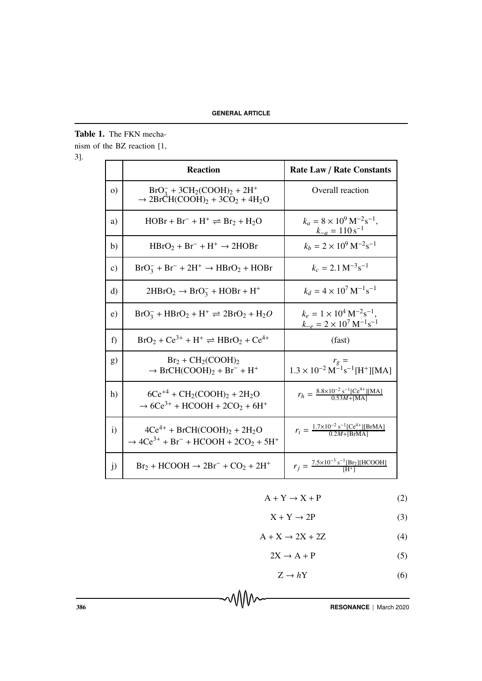Table 1. The FKN mechanism of the BZ reaction [1,

3].

|              | <b>Reaction</b>                                                                                                                | <b>Rate Law / Rate Constants</b>                                                                                       |
|--------------|--------------------------------------------------------------------------------------------------------------------------------|------------------------------------------------------------------------------------------------------------------------|
| $\sigma$ )   | $\begin{array}{c} \rm BrO_3^-+3CH_2(COOH)_2+2H^+\\ \rm \rightarrow 2BrCH(COOH)_2+3CO_2+4H_2O \end{array}$                      | Overall reaction                                                                                                       |
| a)           | $HOBr + Br^- + H^+ \rightleftharpoons Br_2 + H_2O$                                                                             | $k_a = 8 \times 10^9 \,\mathrm{M}^{-2}\mathrm{s}^{-1},$<br>$k_{-a} = 110 \text{ s}^{-1}$                               |
| b)           | $HBrO2 + Br- + H+ \rightarrow 2HORr$                                                                                           | $k_b = 2 \times 10^9 \,\mathrm{M}^{-2} \mathrm{s}^{-1}$                                                                |
| c)           | $BrO3- + Br- + 2H+ \rightarrow HBrO2 + HOBr$                                                                                   | $k_c = 2.1 \,\mathrm{M}^{-3}\mathrm{s}^{-1}$                                                                           |
| $\rm d$      | $2HBrO2 \rightarrow BrO3- + HOBr + H+$                                                                                         | $k_d = 4 \times 10^7 \,\mathrm{M}^{-1}\mathrm{s}^{-1}$                                                                 |
| e)           | $BrO3- + HBrO2 + H+ \rightleftharpoons 2BrO2 + H2O$                                                                            | $k_e = 1 \times 10^4 \,\mathrm{M}^{-2} \mathrm{s}^{-1}$ .<br>$k_{-e} = 2 \times 10^7 \,\mathrm{M}^{-1}\mathrm{s}^{-1}$ |
| f            | $BrO_2 + Ce^{3+} + H^+ \rightleftharpoons HBrO_2 + Ce^{4+}$                                                                    | (fast)                                                                                                                 |
| $\mathbf{g}$ | $Br2 + CH2(COOH)2$<br>$\rightarrow$ BrCH(COOH) <sub>2</sub> + Br <sup>-</sup> + H <sup>+</sup>                                 | $r_g =$<br>1.3 × 10 <sup>-2</sup> M <sup>-1</sup> s <sup>-1</sup> [H <sup>+</sup> ][MA]                                |
| h)           | $6Ce^{+4} + CH_2(COOH)_2 + 2H_2O$<br>$\rightarrow$ 6Ce <sup>3+</sup> + HCOOH + 2CO <sub>2</sub> + 6H <sup>+</sup>              | $r_h = \frac{8.8 \times 10^{-2} \text{ s}^{-1} \text{[Ce}^{4+}\text{][MA]}}{0.53 M + \text{[MA]}}$                     |
| $\mathbf{i}$ | $4Ce4+ + BrCH(COOH)2 + 2H2O$<br>$\rightarrow$ 4Ce <sup>3+</sup> + Br <sup>-</sup> + HCOOH + 2CO <sub>2</sub> + 5H <sup>+</sup> | $r_i = \frac{1.7 \times 10^{-2} \text{ s}^{-1}[\text{Ce}^{4+}][\text{BrMA}]}{0.2M + [\text{BrMA}]}$                    |
| j)           | $Br_2$ + HCOOH $\rightarrow$ 2Br <sup>-</sup> + CO <sub>2</sub> + 2H <sup>+</sup>                                              | $r_j = \frac{7.5 \times 10^{-3} \text{ s}^{-1} [\text{Br}_2][\text{HCOOH}]}{\text{H}^{+1}}$                            |

$$
A + Y \to X + P \tag{2}
$$

$$
X + Y \to 2P \tag{3}
$$

$$
A + X \to 2X + 2Z \tag{4}
$$

$$
2X \to A + P \tag{5}
$$

$$
Z \to hY \tag{6}
$$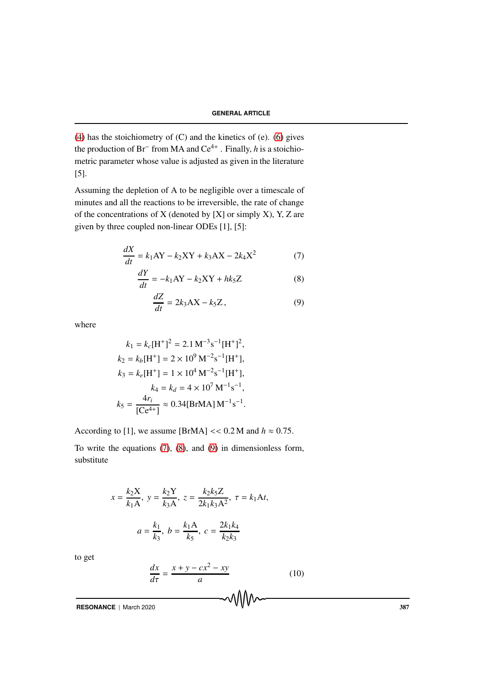(4) has the stoichiometry of  $(C)$  and the kinetics of  $(e)$ . (6) gives the production of Br<sup>−</sup> from MA and Ce4<sup>+</sup> . Finally, *h* is a stoichiometric parameter whose value is adjusted as given in the literature [5].

Assuming the depletion of A to be negligible over a timescale of minutes and all the reactions to be irreversible, the rate of change of the concentrations of  $X$  (denoted by  $[X]$  or simply  $X$ ),  $Y$ ,  $Z$  are given by three coupled non-linear ODEs [1], [5]:

$$
\frac{dX}{dt} = k_1 AY - k_2 XY + k_3 AX - 2k_4 X^2 \tag{7}
$$

$$
\frac{dY}{dt} = -k_1AY - k_2XY + hk_5Z\tag{8}
$$

$$
\frac{dZ}{dt} = 2k_3 \mathbf{AX} - k_5 \mathbf{Z},\tag{9}
$$

where

$$
k_1 = k_c[H^+]^2 = 2.1 M^{-3} s^{-1} [H^+]^2,
$$
  
\n
$$
k_2 = k_b[H^+] = 2 \times 10^9 M^{-2} s^{-1} [H^+],
$$
  
\n
$$
k_3 = k_e[H^+] = 1 \times 10^4 M^{-2} s^{-1} [H^+],
$$
  
\n
$$
k_4 = k_d = 4 \times 10^7 M^{-1} s^{-1},
$$
  
\n
$$
k_5 = \frac{4r_i}{[Ce^{4+}]} \approx 0.34 [BrMA] M^{-1} s^{-1}.
$$

According to [1], we assume [BrMA] <<  $0.2$  M and  $h \approx 0.75$ .

To write the equations (7), (8), and (9) in dimensionless form, substitute

$$
x = \frac{k_2 X}{k_1 A}, \ y = \frac{k_2 Y}{k_3 A}, \ z = \frac{k_2 k_5 Z}{2k_1 k_3 A^2}, \ \tau = k_1 A t,
$$

$$
a = \frac{k_1}{k_3}, \ b = \frac{k_1 A}{k_5}, \ c = \frac{2k_1 k_4}{k_2 k_3}
$$

to get

$$
\frac{dx}{d\tau} = \frac{x + y - cx^2 - xy}{a} \tag{10}
$$

**RESONANCE** | March 2020 **387 397**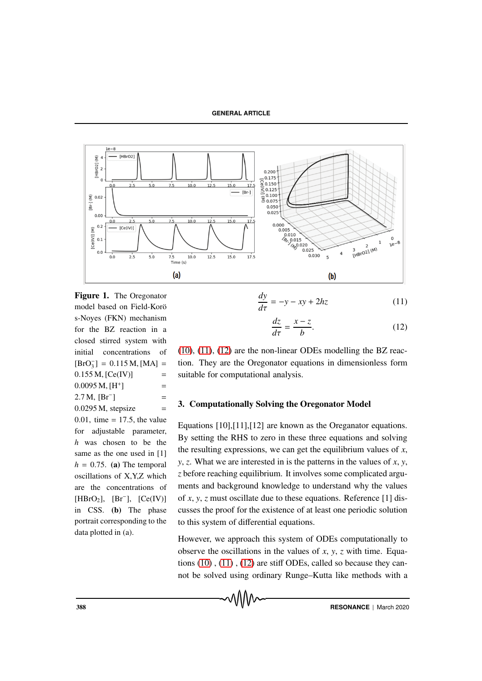

Figure 1. The Oregonator model based on Field-Korö s-Noyes (FKN) mechanism for the BZ reaction in a closed stirred system with initial concentrations of  $[BrO<sub>3</sub><sup>-</sup>] = 0.115 M, [MA] =$  $0.155 M, [Ce(IV)]$  =  $0.0095 M$ ,  $[H^+]$  =  $2.7 M, [Br^-]$  =  $0.0295$  M, stepsize  $=$ 0.01, time =  $17.5$ , the value for adjustable parameter, *h* was chosen to be the same as the one used in [1]  $h = 0.75$ . (a) The temporal oscillations of X,Y,Z which are the concentrations of  $[HBrO<sub>2</sub>]$ ,  $[Br<sup>-</sup>]$ ,  $[Ce(IV)]$ in CSS. (b) The phase portrait corresponding to the data plotted in (a).

$$
\frac{dy}{d\tau} = -y - xy + 2hz\tag{11}
$$

$$
\frac{dz}{d\tau} = \frac{x - z}{b}.\tag{12}
$$

(10), (11), (12) are the non-linear ODEs modelling the BZ reaction. They are the Oregonator equations in dimensionless form suitable for computational analysis.

#### 3. Computationally Solving the Oregonator Model

Equations [10],[11],[12] are known as the Oreganator equations. By setting the RHS to zero in these three equations and solving the resulting expressions, we can get the equilibrium values of *x*, *y*, *z*. What we are interested in is the patterns in the values of *x*, *y*, *z* before reaching equilibrium. It involves some complicated arguments and background knowledge to understand why the values of *x*, *y*, *z* must oscillate due to these equations. Reference [1] discusses the proof for the existence of at least one periodic solution to this system of differential equations.

However, we approach this system of ODEs computationally to observe the oscillations in the values of *x*, *y*, *z* with time. Equations (10) , (11) , (12) are stiff ODEs, called so because they cannot be solved using ordinary Runge–Kutta like methods with a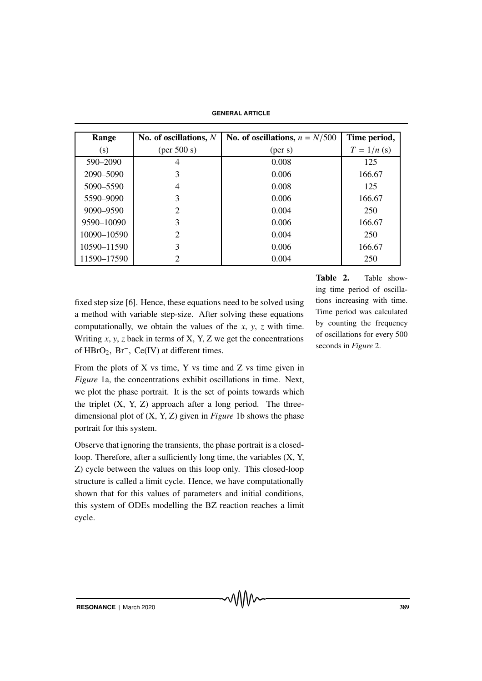| Range       | No. of oscillations, $N$      | No. of oscillations, $n = N/500$ | Time period,  |
|-------------|-------------------------------|----------------------------------|---------------|
| (s)         | $(\text{per } 500 \text{ s})$ | (per s)                          | $T = 1/n$ (s) |
| 590-2090    | 4                             | 0.008                            | 125           |
| 2090-5090   | 3                             | 0.006                            | 166.67        |
| 5090-5590   | 4                             | 0.008                            | 125           |
| 5590-9090   | 3                             | 0.006                            | 166.67        |
| 9090-9590   | 2                             | 0.004                            | 250           |
| 9590-10090  | 3                             | 0.006                            | 166.67        |
| 10090-10590 | 2                             | 0.004                            | 250           |
| 10590-11590 | 3                             | 0.006                            | 166.67        |
| 11590-17590 |                               | 0.004                            | 250           |

fixed step size [6]. Hence, these equations need to be solved using a method with variable step-size. After solving these equations computationally, we obtain the values of the *x*, *y*, *z* with time. Writing *x*, *y*, *z* back in terms of X, Y, Z we get the concentrations of HBrO2, Br−, Ce(IV) at different times.

From the plots of X vs time, Y vs time and Z vs time given in *Figure* 1a, the concentrations exhibit oscillations in time. Next, we plot the phase portrait. It is the set of points towards which the triplet  $(X, Y, Z)$  approach after a long period. The threedimensional plot of (X, Y, Z) given in *Figure* 1b shows the phase portrait for this system.

Observe that ignoring the transients, the phase portrait is a closedloop. Therefore, after a sufficiently long time, the variables (X, Y, Z) cycle between the values on this loop only. This closed-loop structure is called a limit cycle. Hence, we have computationally shown that for this values of parameters and initial conditions, this system of ODEs modelling the BZ reaction reaches a limit cycle.

Table 2. Table showing time period of oscillations increasing with time. Time period was calculated by counting the frequency of oscillations for every 500 seconds in *Figure* 2.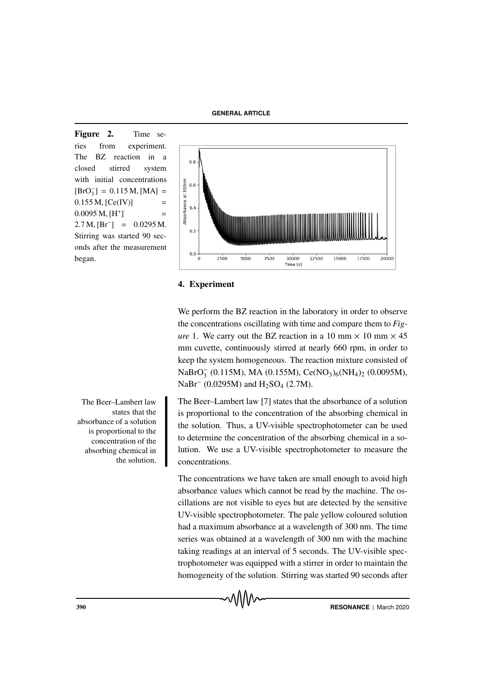Figure 2. Time series from experiment. The BZ reaction in a closed stirred system with initial concentrations  $[BrO_3^-] = 0.115 M, [MA] =$  $0.155 M, [Ce(IV)]$  =  $0.0095 M$ ,  $[H^+]$  =  $2.7 M$ ,  $[Br^-] = 0.0295 M$ . Stirring was started 90 seconds after the measurement began.

The Beer–Lambert law states that the absorbance of a solution is proportional to the concentration of the absorbing chemical in the solution.



#### 4. Experiment

We perform the BZ reaction in the laboratory in order to observe the concentrations oscillating with time and compare them to *Figure* 1. We carry out the BZ reaction in a 10 mm  $\times$  10 mm  $\times$  45 mm cuvette, continuously stirred at nearly 660 rpm, in order to keep the system homogeneous. The reaction mixture consisted of NaBrO<sub>3</sub> (0.115M), MA (0.155M), Ce(NO<sub>3</sub>)<sub>6</sub>(NH<sub>4</sub>)<sub>2</sub> (0.0095M), NaBr<sup>−</sup> (0.0295M) and H<sub>2</sub>SO<sub>4</sub> (2.7M).

The Beer–Lambert law [7] states that the absorbance of a solution is proportional to the concentration of the absorbing chemical in the solution. Thus, a UV-visible spectrophotometer can be used to determine the concentration of the absorbing chemical in a solution. We use a UV-visible spectrophotometer to measure the concentrations.

The concentrations we have taken are small enough to avoid high absorbance values which cannot be read by the machine. The oscillations are not visible to eyes but are detected by the sensitive UV-visible spectrophotometer. The pale yellow coloured solution had a maximum absorbance at a wavelength of 300 nm. The time series was obtained at a wavelength of 300 nm with the machine taking readings at an interval of 5 seconds. The UV-visible spectrophotometer was equipped with a stirrer in order to maintain the homogeneity of the solution. Stirring was started 90 seconds after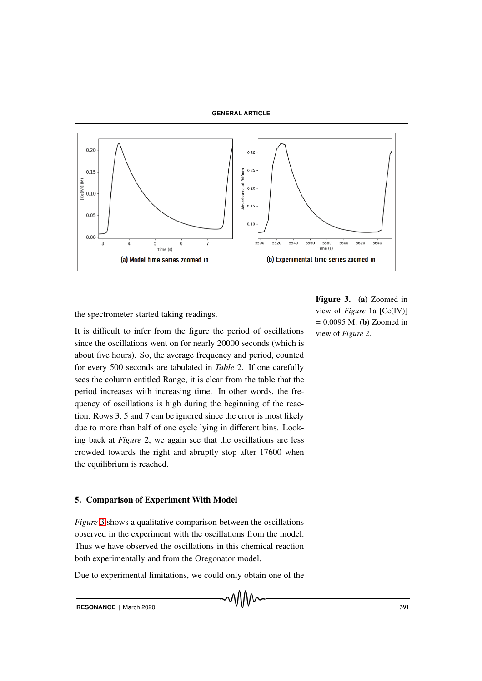

the spectrometer started taking readings.

It is difficult to infer from the figure the period of oscillations since the oscillations went on for nearly 20000 seconds (which is about five hours). So, the average frequency and period, counted for every 500 seconds are tabulated in *Table* 2. If one carefully sees the column entitled Range, it is clear from the table that the period increases with increasing time. In other words, the frequency of oscillations is high during the beginning of the reaction. Rows 3, 5 and 7 can be ignored since the error is most likely due to more than half of one cycle lying in different bins. Looking back at *Figure* 2, we again see that the oscillations are less crowded towards the right and abruptly stop after 17600 when the equilibrium is reached.

# 5. Comparison of Experiment With Model

*Figure* 3 shows a qualitative comparison between the oscillations observed in the experiment with the oscillations from the model. Thus we have observed the oscillations in this chemical reaction both experimentally and from the Oregonator model.

Due to experimental limitations, we could only obtain one of the

Figure 3. (a) Zoomed in view of *Figure* 1a [Ce(IV)]  $= 0.0095$  M. (b) Zoomed in view of *Figure* 2.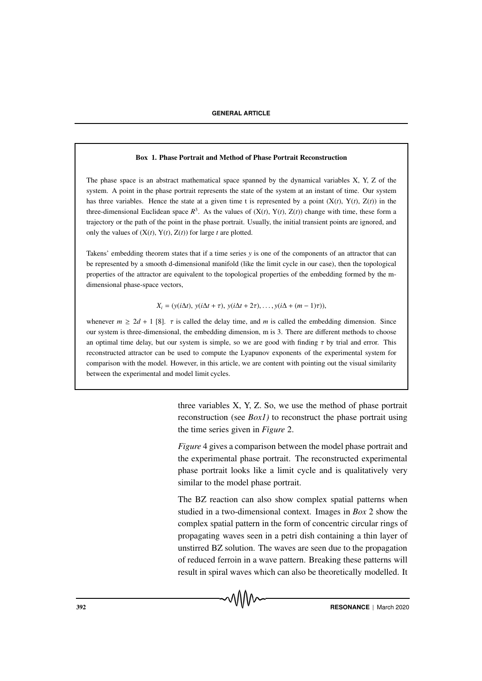#### Box 1. Phase Portrait and Method of Phase Portrait Reconstruction

The phase space is an abstract mathematical space spanned by the dynamical variables X, Y, Z of the system. A point in the phase portrait represents the state of the system at an instant of time. Our system has three variables. Hence the state at a given time t is represented by a point  $(X(t), Y(t), Z(t))$  in the three-dimensional Euclidean space  $R^3$ . As the values of  $(X(t), Y(t), Z(t))$  change with time, these form a trajectory or the path of the point in the phase portrait. Usually, the initial transient points are ignored, and only the values of  $(X(t), Y(t), Z(t))$  for large *t* are plotted.

Takens' embedding theorem states that if a time series *y* is one of the components of an attractor that can be represented by a smooth d-dimensional manifold (like the limit cycle in our case), then the topological properties of the attractor are equivalent to the topological properties of the embedding formed by the mdimensional phase-space vectors,

$$
X_i = (y(i\Delta t), y(i\Delta t + \tau), y(i\Delta t + 2\tau), \ldots, y(i\Delta + (m-1)\tau)),
$$

whenever  $m \ge 2d + 1$  [8].  $\tau$  is called the delay time, and *m* is called the embedding dimension. Since our system is three-dimensional, the embedding dimension, m is 3. There are different methods to choose an optimal time delay, but our system is simple, so we are good with finding  $\tau$  by trial and error. This reconstructed attractor can be used to compute the Lyapunov exponents of the experimental system for comparison with the model. However, in this article, we are content with pointing out the visual similarity between the experimental and model limit cycles.

> three variables X, Y, Z. So, we use the method of phase portrait reconstruction (see *Box1)* to reconstruct the phase portrait using the time series given in *Figure* 2.

> *Figure* 4 gives a comparison between the model phase portrait and the experimental phase portrait. The reconstructed experimental phase portrait looks like a limit cycle and is qualitatively very similar to the model phase portrait.

> The BZ reaction can also show complex spatial patterns when studied in a two-dimensional context. Images in *Box* 2 show the complex spatial pattern in the form of concentric circular rings of propagating waves seen in a petri dish containing a thin layer of unstirred BZ solution. The waves are seen due to the propagation of reduced ferroin in a wave pattern. Breaking these patterns will result in spiral waves which can also be theoretically modelled. It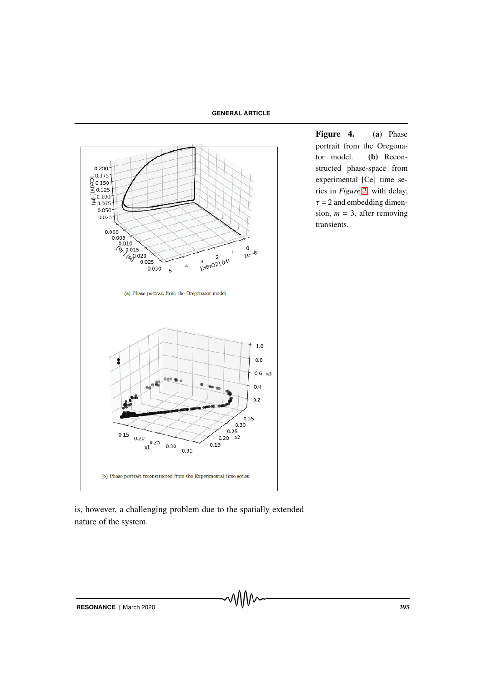

Figure 4. (a) Phase portrait from the Oregonator model. (b) Reconstructed phase-space from experimental [Ce] time series in *Figure* 2, with delay,  $\tau$  = 2 and embedding dimension,  $m = 3$ , after removing transients.

is, however, a challenging problem due to the spatially extended nature of the system.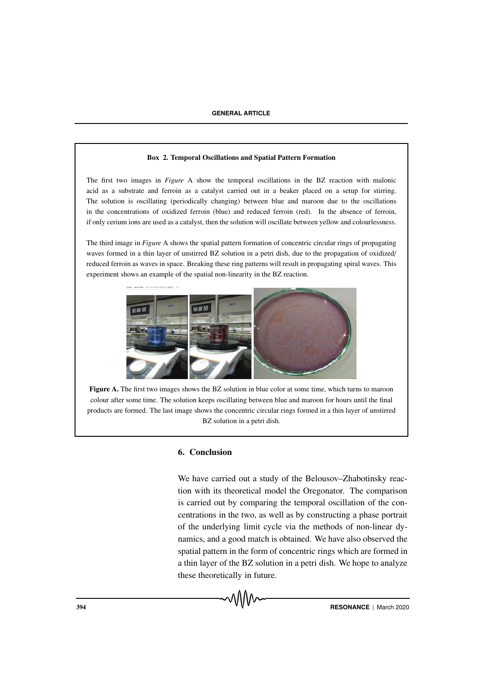#### Box 2. Temporal Oscillations and Spatial Pattern Formation

The first two images in *Figure* A show the temporal oscillations in the BZ reaction with malonic acid as a substrate and ferroin as a catalyst carried out in a beaker placed on a setup for stirring. The solution is oscillating (periodically changing) between blue and maroon due to the oscillations in the concentrations of oxidized ferroin (blue) and reduced ferroin (red). In the absence of ferroin, if only cerium ions are used as a catalyst, then the solution will oscillate between yellow and colourlessness.

The third image in *Figure* A shows the spatial pattern formation of concentric circular rings of propagating waves formed in a thin layer of unstirred BZ solution in a petri dish, due to the propagation of oxidized/ reduced ferroin as waves in space. Breaking these ring patterns will result in propagating spiral waves. This experiment shows an example of the spatial non-linearity in the BZ reaction.



Figure A. The first two images shows the BZ solution in blue color at some time, which turns to maroon colour after some time. The solution keeps oscillating between blue and maroon for hours until the final products are formed. The last image shows the concentric circular rings formed in a thin layer of unstirred BZ solution in a petri dish.

## 6. Conclusion

We have carried out a study of the Belousov–Zhabotinsky reaction with its theoretical model the Oregonator. The comparison is carried out by comparing the temporal oscillation of the concentrations in the two, as well as by constructing a phase portrait of the underlying limit cycle via the methods of non-linear dynamics, and a good match is obtained. We have also observed the spatial pattern in the form of concentric rings which are formed in a thin layer of the BZ solution in a petri dish. We hope to analyze these theoretically in future.